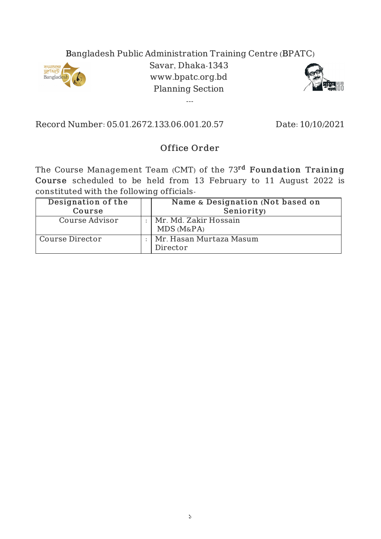## Bangladesh Public Administration Training Centre (BPATC)



Savar, Dhaka-1343 www.bpatc.org.bd Planning Section

---



Record Number: 05.01.2672.133.06.001.20.57 Date: 10/10/2021

## Office Order

The Course Management Team (CMT) of the 73<sup>rd</sup> Foundation Training Course scheduled to be held from 13 February to 11 August 2022 is constituted with the following officials-

| Designation of the<br>Course | Name & Designation (Not based on<br>Seniority) |
|------------------------------|------------------------------------------------|
| Course Advisor               | Mr. Md. Zakir Hossain<br>$MDS(M_{\&}PA)$       |
| Course Director              | Mr. Hasan Murtaza Masum<br>Director            |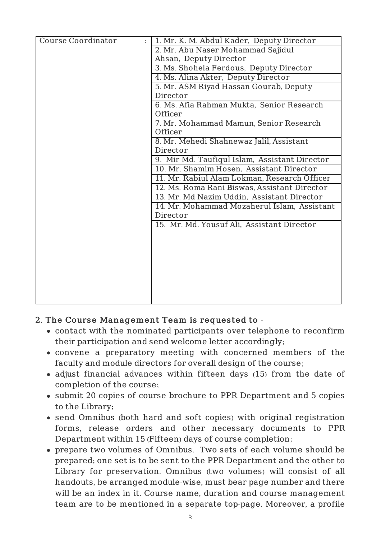| <b>Course Coordinator</b> | 1. Mr. K. M. Abdul Kader, Deputy Director     |
|---------------------------|-----------------------------------------------|
|                           | 2. Mr. Abu Naser Mohammad Sajidul             |
|                           | Ahsan, Deputy Director                        |
|                           | 3. Ms. Shohela Ferdous, Deputy Director       |
|                           | 4. Ms. Alina Akter, Deputy Director           |
|                           | 5. Mr. ASM Riyad Hassan Gourab, Deputy        |
|                           | Director                                      |
|                           | 6. Ms. Afia Rahman Mukta, Senior Research     |
|                           | Officer                                       |
|                           | 7. Mr. Mohammad Mamun, Senior Research        |
|                           | Officer                                       |
|                           | 8. Mr. Mehedi Shahnewaz Jalil, Assistant      |
|                           | Director                                      |
|                           | 9. Mir Md. Taufiqul Islam, Assistant Director |
|                           | 10. Mr. Shamim Hosen, Assistant Director      |
|                           | 11. Mr. Rabiul Alam Lokman, Research Officer  |
|                           | 12. Ms. Roma Rani Biswas, Assistant Director  |
|                           | 13. Mr. Md Nazim Uddin, Assistant Director    |
|                           | 14. Mr. Mohammad Mozaherul Islam, Assistant   |
|                           | Director                                      |
|                           | 15. Mr. Md. Yousuf Ali, Assistant Director    |
|                           |                                               |
|                           |                                               |
|                           |                                               |
|                           |                                               |
|                           |                                               |
|                           |                                               |
|                           |                                               |
|                           |                                               |

## 2. The Course Management Team is requested to -

- contact with the nominated participants over telephone to reconfirm their participation and send welcome letter accordingly;
- convene a preparatory meeting with concerned members of the faculty and module directors for overall design of the course;
- adjust financial advances within fifteen days (15) from the date of completion of the course;
- submit 20 copies of course brochure to PPR Department and 5 copies to the Library;
- send Omnibus (both hard and soft copies) with original registration forms, release orders and other necessary documents to PPR Department within 15 (Fifteen) days of course completion;
- prepare two volumes of Omnibus. Two sets of each volume should be prepared; one set is to be sent to the PPR Department and the other to Library for preservation. Omnibus (two volumes) will consist of all handouts, be arranged module-wise, must bear page number and there will be an index in it. Course name, duration and course management team are to be mentioned in a separate top-page. Moreover, a profile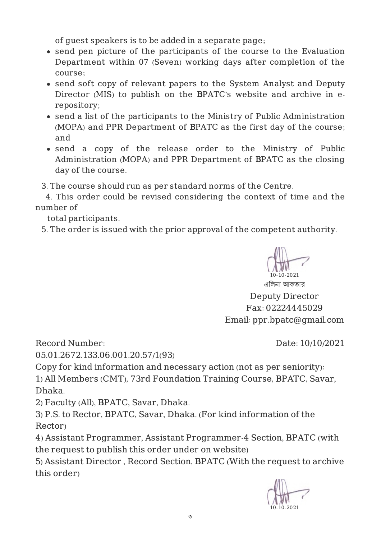of guest speakers is to be added in a separate page;

- send pen picture of the participants of the course to the Evaluation Department within 07 (Seven) working days after completion of the course;
- send soft copy of relevant papers to the System Analyst and Deputy Director (MIS) to publish on the BPATC's website and archive in erepository;
- send a list of the participants to the Ministry of Public Administration (MOPA) and PPR Department of BPATC as the first day of the course; and
- send a copy of the release order to the Ministry of Public Administration (MOPA) and PPR Department of BPATC as the closing day of the course.

3. The course should run as per standard norms of the Centre.

4. This order could be revised considering the context of time and the number of

total participants.

5. The order is issued with the prior approval of the competent authority.



এিলনা আকতার Deputy Director Fax: 02224445029 Email: ppr.bpatc@gmail.com

Record Number:

Date: 10/10/2021

05.01.2672.133.06.001.20.57/1(93)

Copy for kind information and necessary action (not as per seniority):

1) All Members (CMT), 73rd Foundation Training Course, BPATC, Savar, Dhaka.

2) Faculty (All), BPATC, Savar, Dhaka.

3) P.S. to Rector, BPATC, Savar, Dhaka. (For kind information of the Rector)

4) Assistant Programmer, Assistant Programmer-4 Section, BPATC (with the request to publish this order under on website)

5) Assistant Director , Record Section, BPATC (With the request to archive this order)